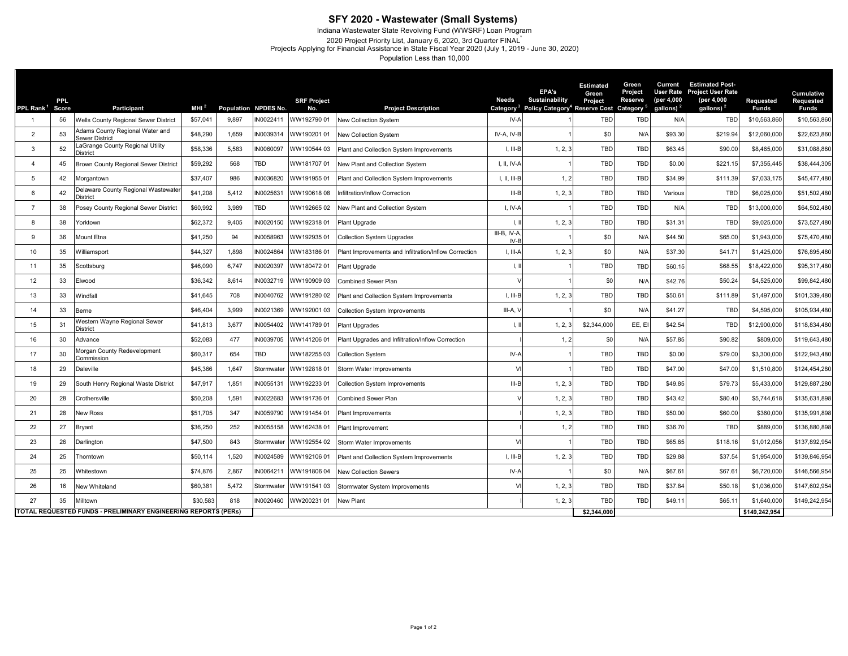## **SFY 2020 - Wastewater (Small Systems)**

Indiana Wastewater State Revolving Fund (WWSRF) Loan Program

2020 Project Priority List, January 6, 2020, 3rd Quarter FINAL\* Projects Applying for Financial Assistance in State Fiscal Year 2020 (July 1, 2019 - June 30, 2020)

Population Less than 10,000

| PPL Rank <sup>1</sup>                                          | PPL.<br><b>Score</b> | Participant                                              | MH <sup>2</sup> |       | Population NPDES No. | <b>SRF Project</b><br>No. | <b>Project Description</b>                            | Needs<br>Category <sup>3</sup> | <b>EPA's</b><br>Sustainability<br>Policy Category <sup>4</sup> | <b>Estimated</b><br>Green<br>Project<br><b>Reserve Cost Category</b> | Green<br>Project<br>Reserve | Current<br><b>User Rate</b><br>(per 4,000<br>gallons) <sup>2</sup> | <b>Estimated Post-</b><br><b>Project User Rate</b><br>(per 4,000<br>gallons) <sup>2</sup> | Requested<br><b>Funds</b> | <b>Cumulative</b><br>Requested<br><b>Funds</b> |
|----------------------------------------------------------------|----------------------|----------------------------------------------------------|-----------------|-------|----------------------|---------------------------|-------------------------------------------------------|--------------------------------|----------------------------------------------------------------|----------------------------------------------------------------------|-----------------------------|--------------------------------------------------------------------|-------------------------------------------------------------------------------------------|---------------------------|------------------------------------------------|
| -1                                                             | 56                   | Wells County Regional Sewer District                     | \$57,041        | 9.897 | IN0022411            | WW192790 01               | New Collection System                                 | $IV-A$                         |                                                                | <b>TBD</b>                                                           | TBD                         | N/A                                                                | <b>TBD</b>                                                                                | \$10,563,860              | \$10,563,860                                   |
| $\overline{2}$                                                 | 53                   | Adams County Regional Water and<br><b>Sewer District</b> | \$48,290        | 1,659 | IN003931             | WW190201 01               | New Collection System                                 | IV-A, IV-B                     |                                                                | \$0                                                                  | N/A                         | \$93.30                                                            | \$219.94                                                                                  | \$12,060,000              | \$22,623,860                                   |
| 3                                                              | 52                   | aGrange County Regional Utility<br>)istrict              | \$58,336        | 5,583 | N0060097             | WW190544 03               | Plant and Collection System Improvements              | I, III-B                       | 1, 2, 3                                                        | <b>TBD</b>                                                           | TBD                         | \$63.45                                                            | \$90.00                                                                                   | \$8,465,000               | \$31,088,860                                   |
| $\overline{4}$                                                 | 45                   | Brown County Regional Sewer District                     | \$59,292        | 568   | TBD                  | WW18170701                | New Plant and Collection System                       | I, II, IV-A                    |                                                                | TBD                                                                  | TBD                         | \$0.00                                                             | \$221.15                                                                                  | \$7,355,445               | \$38,444,305                                   |
| 5                                                              | 42                   | Morgantown                                               | \$37,407        | 986   | N0036820             | WW19195501                | Plant and Collection System Improvements              | I, II, III-B                   | 1, 2                                                           | TBD                                                                  | TBD                         | \$34.99                                                            | \$111.39                                                                                  | \$7,033,175               | \$45,477,480                                   |
| 6                                                              | 42                   | Delaware County Regional Wastewate<br>District           | \$41,208        | 5,412 | IN0025631            | WW19061808                | Infiltration/Inflow Correction                        | $III - B$                      | 1, 2, 3                                                        | TBD                                                                  | TBD                         | Various                                                            | <b>TBD</b>                                                                                | \$6,025,000               | \$51,502,480                                   |
| $\overline{7}$                                                 | 38                   | Posey County Regional Sewer District                     | \$60,992        | 3,989 | TBD                  | WW19266502                | New Plant and Collection System                       | $I, IV-f$                      |                                                                | TBD                                                                  | <b>TBD</b>                  | N/A                                                                | <b>TBD</b>                                                                                | \$13,000,000              | \$64,502,480                                   |
| 8                                                              | 38                   | Yorktown                                                 | \$62,372        | 9,405 | IN0020150            | WW19231801                | Plant Upgrade                                         |                                | 1, 2, 3                                                        | TBD                                                                  | TBD                         | \$31.31                                                            | <b>TBD</b>                                                                                | \$9,025,000               | \$73,527,480                                   |
| 9                                                              | 36                   | Mount Etna                                               | \$41,250        | 94    | IN0058963            | WW19293501                | <b>Collection System Upgrades</b>                     | $III-B, IV-A$<br>$IV-B$        |                                                                | \$0                                                                  | N/A                         | \$44.50                                                            | \$65.00                                                                                   | \$1,943,000               | \$75,470,480                                   |
| 10                                                             | 35                   | Williamsport                                             | \$44,327        | 1,898 | IN0024864            | WW18318601                | Plant Improvements and Infiltration/Inflow Correction | I, III-A                       | 1, 2, 3                                                        | \$0                                                                  | N/A                         | \$37.30                                                            | \$41.71                                                                                   | \$1,425,000               | \$76,895,480                                   |
| 11                                                             | 35                   | Scottsburg                                               | \$46,090        | 6,747 | N0020397             | WW18047201                | Plant Upgrade                                         | $\perp$                        |                                                                | <b>TBD</b>                                                           | TBD                         | \$60.15                                                            | \$68.55                                                                                   | \$18,422,000              | \$95,317,480                                   |
| 12                                                             | 33                   | Elwood                                                   | \$36,342        | 8,614 | IN0032719            | WW19090903                | Combined Sewer Plan                                   |                                |                                                                | \$0                                                                  | N/A                         | \$42.76                                                            | \$50.24                                                                                   | \$4,525,000               | \$99,842,480                                   |
| 13                                                             | 33                   | Windfall                                                 | \$41,645        | 708   | IN0040762            | WW19128002                | Plant and Collection System Improvements              | I, III-B                       | 1, 2, 3                                                        | <b>TBD</b>                                                           | <b>TBD</b>                  | \$50.61                                                            | \$111.89                                                                                  | \$1,497,000               | \$101,339,480                                  |
| 14                                                             | 33                   | Berne                                                    | \$46,404        | 3,999 | IN0021369            | WW19200103                | <b>Collection System Improvements</b>                 | $III-A, \lambda$               |                                                                | \$0                                                                  | N/A                         | \$41.27                                                            | <b>TBD</b>                                                                                | \$4,595,000               | \$105,934,480                                  |
| 15                                                             | 31                   | Vestern Wayne Regional Sewer<br><b>District</b>          | \$41,813        | 3,677 | IN0054402            | WW14178901                | Plant Upgrades                                        | $\perp$                        | 1, 2, 3                                                        | \$2,344,000                                                          | EE, EI                      | \$42.54                                                            | <b>TBD</b>                                                                                | \$12,900,000              | \$118,834,480                                  |
| 16                                                             | 30                   | Advance                                                  | \$52,083        | 477   | IN0039705            | WW14120601                | Plant Upgrades and Infiltration/Inflow Correction     |                                | 1, 2                                                           | \$0                                                                  | N/A                         | \$57.85                                                            | \$90.82                                                                                   | \$809,000                 | \$119,643,480                                  |
| 17                                                             | 30                   | <b>Aorgan County Redevelopment</b><br>Commission         | \$60,317        | 654   | TBD                  | WW18225503                | <b>Collection System</b>                              | IV-A                           |                                                                | TBD                                                                  | TBD                         | \$0.00                                                             | \$79.00                                                                                   | \$3,300,000               | \$122,943,480                                  |
| 18                                                             | 29                   | Daleville                                                | \$45,366        | 1,647 | Stormwater           | WW19281801                | Storm Water Improvements                              |                                |                                                                | <b>TBD</b>                                                           | TBD                         | \$47.00                                                            | \$47.00                                                                                   | \$1,510,800               | \$124,454,280                                  |
| 19                                                             | 29                   | South Henry Regional Waste District                      | \$47,917        | 1,851 | IN0055131            | WW19223301                | <b>Collection System Improvements</b>                 | $III-B$                        | 1, 2, 3                                                        | <b>TBD</b>                                                           | <b>TBD</b>                  | \$49.85                                                            | \$79.73                                                                                   | \$5,433,000               | \$129,887,280                                  |
| 20                                                             | 28                   | Crothersville                                            | \$50,208        | 1,591 | IN0022683            | WW19173601                | Combined Sewer Plan                                   |                                | 1, 2, 3                                                        | <b>TBD</b>                                                           | <b>TBD</b>                  | \$43.42                                                            | \$80.40                                                                                   | \$5,744,618               | \$135,631,898                                  |
| 21                                                             | 28                   | <b>Vew Ross</b>                                          | \$51,705        | 347   | IN0059790            | WW191454 01               | Plant Improvements                                    |                                | 1, 2, 3                                                        | <b>TBD</b>                                                           | <b>TBD</b>                  | \$50.00                                                            | \$60.00                                                                                   | \$360,000                 | \$135,991,898                                  |
| 22                                                             | 27                   | <b>Bryant</b>                                            | \$36,250        | 252   | N0055158             | WW16243801                | Plant Improvement                                     |                                | 1, 2                                                           | <b>TBD</b>                                                           | <b>TBD</b>                  | \$36.70                                                            | TBD                                                                                       | \$889,000                 | \$136,880,898                                  |
| 23                                                             | 26                   | Darlington                                               | \$47,500        | 843   | Stormwater           | WW192554 02               | Storm Water Improvements                              | $\mathcal{U}$                  |                                                                | <b>TBD</b>                                                           | <b>TBD</b>                  | \$65.65                                                            | \$118.16                                                                                  | \$1,012,056               | \$137,892,954                                  |
| 24                                                             | 25                   | Thorntown                                                | \$50,114        | 1,520 | IN0024589            | WW19210601                | Plant and Collection System Improvements              | $I, III-B$                     | 1, 2.3                                                         | <b>TBD</b>                                                           | <b>TBD</b>                  | \$29.88                                                            | \$37.54                                                                                   | \$1,954,000               | \$139,846,954                                  |
| 25                                                             | 25                   | Whitestown                                               | \$74,876        | 2,867 | N0064211             | WW19180604                | <b>New Collection Sewers</b>                          | IV-A                           |                                                                | \$0                                                                  | N/A                         | \$67.61                                                            | \$67.61                                                                                   | \$6,720,000               | \$146,566,954                                  |
| 26                                                             | 16                   | New Whiteland                                            | \$60,381        | 5,472 | Stormwater           | WW19154103                | Stormwater System Improvements                        |                                | 1, 2, 3                                                        | <b>TBD</b>                                                           | <b>TBD</b>                  | \$37.84                                                            | \$50.18                                                                                   | \$1,036,000               | \$147,602,954                                  |
| 27                                                             | 35                   | Milltown                                                 | \$30,583        | 818   | N0020460             | WW200231 01               | New Plant                                             |                                | 1, 2, 3                                                        | TBD                                                                  | TBD                         | \$49.1                                                             | \$65.11                                                                                   | \$1,640,000               | \$149,242,954                                  |
| TOTAL REQUESTED FUNDS - PRELIMINARY ENGINEERING REPORTS (PERs) |                      |                                                          |                 |       |                      |                           |                                                       |                                | \$2,344,000                                                    |                                                                      |                             |                                                                    | \$149,242,954                                                                             |                           |                                                |